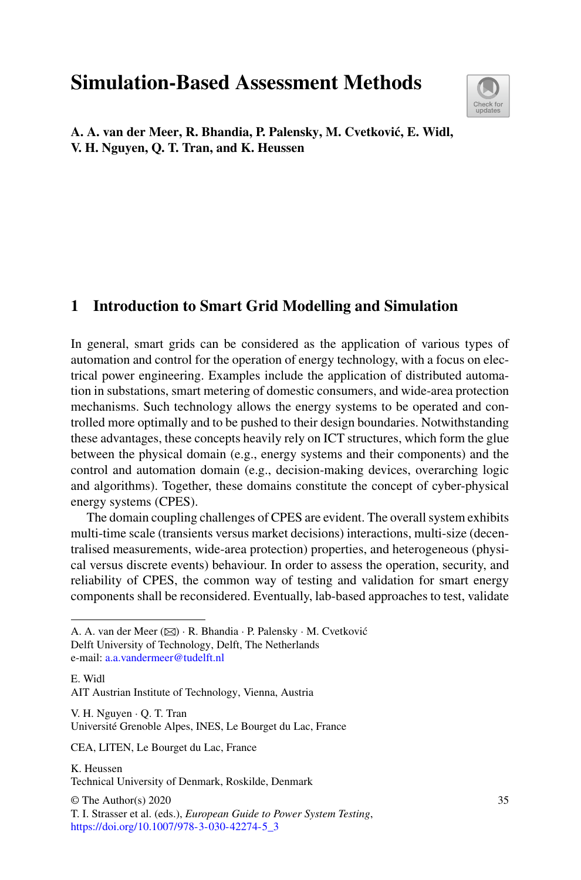# **Simulation-Based Assessment Methods**



A. A. van der Meer, R. Bhandia, P. Palensky, M. Cvetković, E. Widl, **V. H. Nguyen, Q. T. Tran, and K. Heussen**

## **1 Introduction to Smart Grid Modelling and Simulation**

In general, smart grids can be considered as the application of various types of automation and control for the operation of energy technology, with a focus on electrical power engineering. Examples include the application of distributed automation in substations, smart metering of domestic consumers, and wide-area protection mechanisms. Such technology allows the energy systems to be operated and controlled more optimally and to be pushed to their design boundaries. Notwithstanding these advantages, these concepts heavily rely on ICT structures, which form the glue between the physical domain (e.g., energy systems and their components) and the control and automation domain (e.g., decision-making devices, overarching logic and algorithms). Together, these domains constitute the concept of cyber-physical energy systems (CPES).

The domain coupling challenges of CPES are evident. The overall system exhibits multi-time scale (transients versus market decisions) interactions, multi-size (decentralised measurements, wide-area protection) properties, and heterogeneous (physical versus discrete events) behaviour. In order to assess the operation, security, and reliability of CPES, the common way of testing and validation for smart energy components shall be reconsidered. Eventually, lab-based approaches to test, validate

E. Widl AIT Austrian Institute of Technology, Vienna, Austria

V. H. Nguyen · Q. T. Tran Université Grenoble Alpes, INES, Le Bourget du Lac, France

CEA, LITEN, Le Bourget du Lac, France

A. A. van der Meer ( $\boxtimes$ ) · R. Bhandia · P. Palensky · M. Cvetković Delft University of Technology, Delft, The Netherlands e-mail: [a.a.vandermeer@tudelft.nl](mailto:a.a.vandermeer@tudelft.nl)

K. Heussen Technical University of Denmark, Roskilde, Denmark

<sup>©</sup> The Author(s) 2020 T. I. Strasser et al. (eds.), *European Guide to Power System Testing*, [https://doi.org/10.1007/978-3-030-42274-5\\_3](https://doi.org/10.1007/978-3-030-42274-5_3)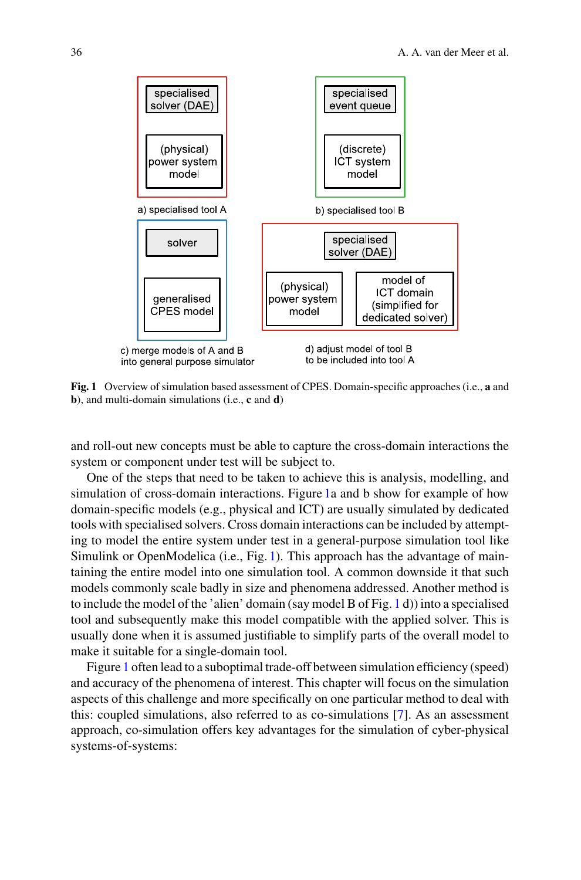

<span id="page-1-0"></span>**Fig. 1** Overview of simulation based assessment of CPES. Domain-specific approaches (i.e., **a** and **b**), and multi-domain simulations (i.e., **c** and **d**)

and roll-out new concepts must be able to capture the cross-domain interactions the system or component under test will be subject to.

One of the steps that need to be taken to achieve this is analysis, modelling, and simulation of cross-domain interactions. Figure [1a](#page-1-0) and b show for example of how domain-specific models (e.g., physical and ICT) are usually simulated by dedicated tools with specialised solvers. Cross domain interactions can be included by attempting to model the entire system under test in a general-purpose simulation tool like Simulink or OpenModelica (i.e., Fig. [1\)](#page-1-0). This approach has the advantage of maintaining the entire model into one simulation tool. A common downside it that such models commonly scale badly in size and phenomena addressed. Another method is to include the model of the 'alien' domain (say model B of Fig. [1](#page-1-0) d)) into a specialised tool and subsequently make this model compatible with the applied solver. This is usually done when it is assumed justifiable to simplify parts of the overall model to make it suitable for a single-domain tool.

Figure [1](#page-1-0) often lead to a suboptimal trade-off between simulation efficiency (speed) and accuracy of the phenomena of interest. This chapter will focus on the simulation aspects of this challenge and more specifically on one particular method to deal with this: coupled simulations, also referred to as co-simulations [\[7\]](#page-15-0). As an assessment approach, co-simulation offers key advantages for the simulation of cyber-physical systems-of-systems: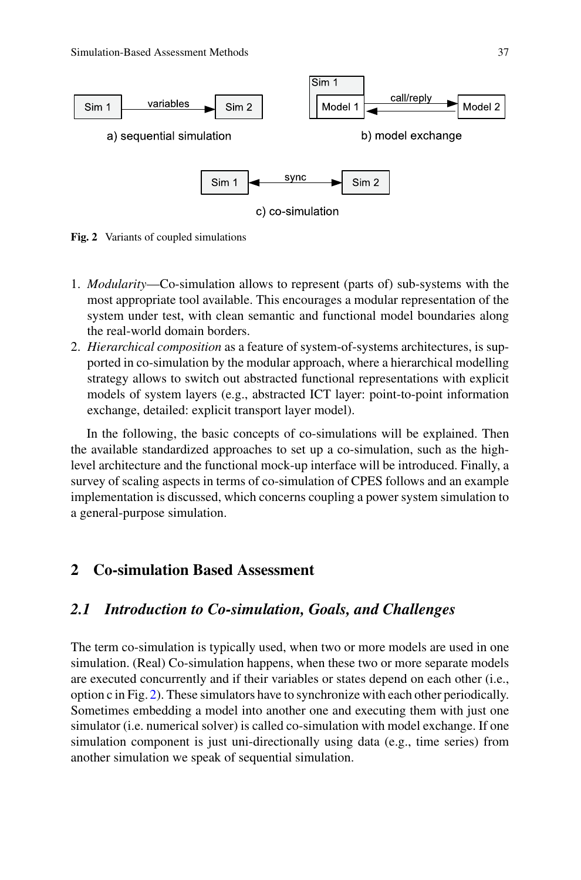

<span id="page-2-0"></span>**Fig. 2** Variants of coupled simulations

- 1. *Modularity*—Co-simulation allows to represent (parts of) sub-systems with the most appropriate tool available. This encourages a modular representation of the system under test, with clean semantic and functional model boundaries along the real-world domain borders.
- 2. *Hierarchical composition* as a feature of system-of-systems architectures, is supported in co-simulation by the modular approach, where a hierarchical modelling strategy allows to switch out abstracted functional representations with explicit models of system layers (e.g., abstracted ICT layer: point-to-point information exchange, detailed: explicit transport layer model).

In the following, the basic concepts of co-simulations will be explained. Then the available standardized approaches to set up a co-simulation, such as the highlevel architecture and the functional mock-up interface will be introduced. Finally, a survey of scaling aspects in terms of co-simulation of CPES follows and an example implementation is discussed, which concerns coupling a power system simulation to a general-purpose simulation.

### **2 Co-simulation Based Assessment**

### *2.1 Introduction to Co-simulation, Goals, and Challenges*

The term co-simulation is typically used, when two or more models are used in one simulation. (Real) Co-simulation happens, when these two or more separate models are executed concurrently and if their variables or states depend on each other (i.e., option c in Fig. [2\)](#page-2-0). These simulators have to synchronize with each other periodically. Sometimes embedding a model into another one and executing them with just one simulator (i.e. numerical solver) is called co-simulation with model exchange. If one simulation component is just uni-directionally using data (e.g., time series) from another simulation we speak of sequential simulation.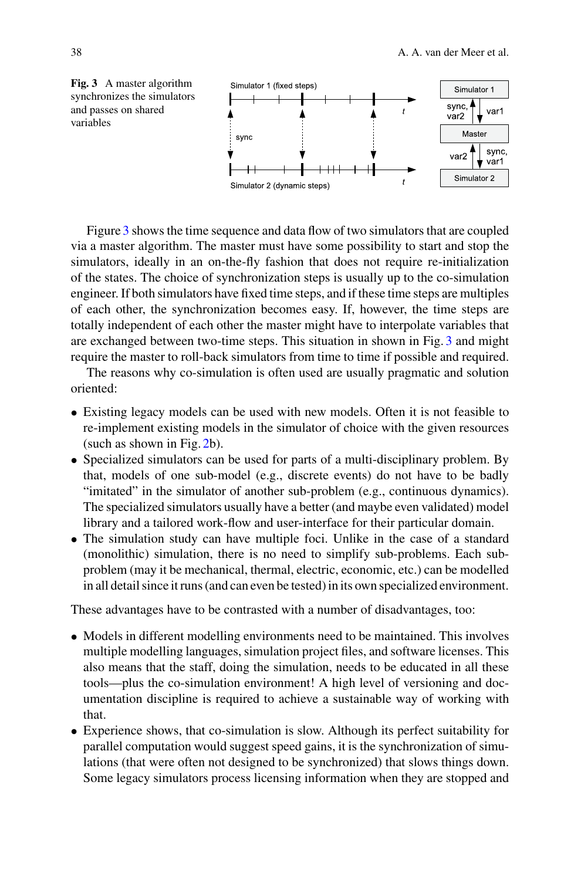<span id="page-3-0"></span>

Figure [3](#page-3-0) shows the time sequence and data flow of two simulators that are coupled via a master algorithm. The master must have some possibility to start and stop the simulators, ideally in an on-the-fly fashion that does not require re-initialization of the states. The choice of synchronization steps is usually up to the co-simulation engineer. If both simulators have fixed time steps, and if these time steps are multiples of each other, the synchronization becomes easy. If, however, the time steps are totally independent of each other the master might have to interpolate variables that are exchanged between two-time steps. This situation in shown in Fig. [3](#page-3-0) and might require the master to roll-back simulators from time to time if possible and required.

The reasons why co-simulation is often used are usually pragmatic and solution oriented:

- Existing legacy models can be used with new models. Often it is not feasible to re-implement existing models in the simulator of choice with the given resources (such as shown in Fig. [2b](#page-2-0)).
- Specialized simulators can be used for parts of a multi-disciplinary problem. By that, models of one sub-model (e.g., discrete events) do not have to be badly "imitated" in the simulator of another sub-problem (e.g., continuous dynamics). The specialized simulators usually have a better (and maybe even validated) model library and a tailored work-flow and user-interface for their particular domain.
- The simulation study can have multiple foci. Unlike in the case of a standard (monolithic) simulation, there is no need to simplify sub-problems. Each subproblem (may it be mechanical, thermal, electric, economic, etc.) can be modelled in all detail since it runs (and can even be tested) in its own specialized environment.

These advantages have to be contrasted with a number of disadvantages, too:

- Models in different modelling environments need to be maintained. This involves multiple modelling languages, simulation project files, and software licenses. This also means that the staff, doing the simulation, needs to be educated in all these tools—plus the co-simulation environment! A high level of versioning and documentation discipline is required to achieve a sustainable way of working with that.
- Experience shows, that co-simulation is slow. Although its perfect suitability for parallel computation would suggest speed gains, it is the synchronization of simulations (that were often not designed to be synchronized) that slows things down. Some legacy simulators process licensing information when they are stopped and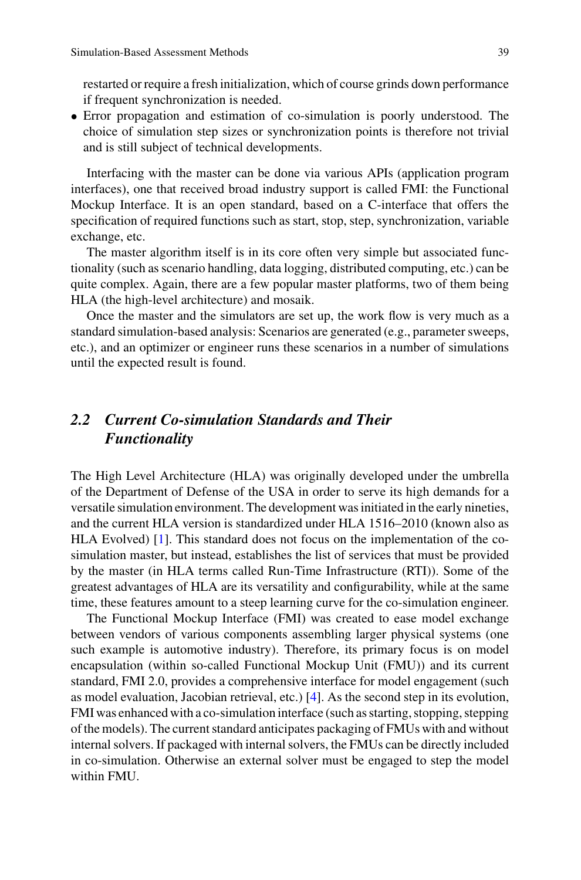restarted or require a fresh initialization, which of course grinds down performance if frequent synchronization is needed.

• Error propagation and estimation of co-simulation is poorly understood. The choice of simulation step sizes or synchronization points is therefore not trivial and is still subject of technical developments.

Interfacing with the master can be done via various APIs (application program interfaces), one that received broad industry support is called FMI: the Functional Mockup Interface. It is an open standard, based on a C-interface that offers the specification of required functions such as start, stop, step, synchronization, variable exchange, etc.

The master algorithm itself is in its core often very simple but associated functionality (such as scenario handling, data logging, distributed computing, etc.) can be quite complex. Again, there are a few popular master platforms, two of them being HLA (the high-level architecture) and mosaik.

Once the master and the simulators are set up, the work flow is very much as a standard simulation-based analysis: Scenarios are generated (e.g., parameter sweeps, etc.), and an optimizer or engineer runs these scenarios in a number of simulations until the expected result is found.

## *2.2 Current Co-simulation Standards and Their Functionality*

The High Level Architecture (HLA) was originally developed under the umbrella of the Department of Defense of the USA in order to serve its high demands for a versatile simulation environment. The development was initiated in the early nineties, and the current HLA version is standardized under HLA 1516–2010 (known also as HLA Evolved) [\[1\]](#page-14-0). This standard does not focus on the implementation of the cosimulation master, but instead, establishes the list of services that must be provided by the master (in HLA terms called Run-Time Infrastructure (RTI)). Some of the greatest advantages of HLA are its versatility and configurability, while at the same time, these features amount to a steep learning curve for the co-simulation engineer.

The Functional Mockup Interface (FMI) was created to ease model exchange between vendors of various components assembling larger physical systems (one such example is automotive industry). Therefore, its primary focus is on model encapsulation (within so-called Functional Mockup Unit (FMU)) and its current standard, FMI 2.0, provides a comprehensive interface for model engagement (such as model evaluation, Jacobian retrieval, etc.) [\[4\]](#page-14-1). As the second step in its evolution, FMI was enhanced with a co-simulation interface (such as starting, stopping, stepping of the models). The current standard anticipates packaging of FMUs with and without internal solvers. If packaged with internal solvers, the FMUs can be directly included in co-simulation. Otherwise an external solver must be engaged to step the model within FMU.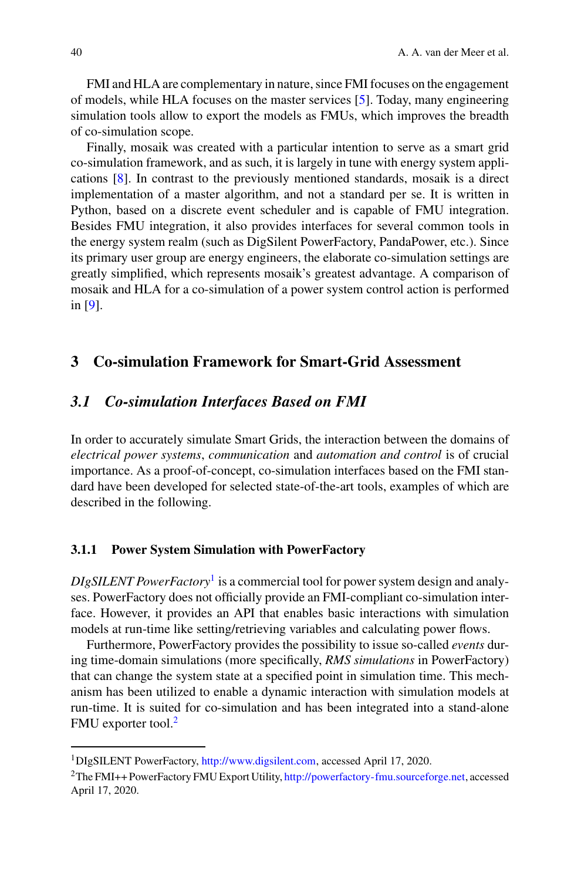FMI and HLA are complementary in nature, since FMI focuses on the engagement of models, while HLA focuses on the master services [\[5\]](#page-15-1). Today, many engineering simulation tools allow to export the models as FMUs, which improves the breadth of co-simulation scope.

Finally, mosaik was created with a particular intention to serve as a smart grid co-simulation framework, and as such, it is largely in tune with energy system applications [\[8\]](#page-15-2). In contrast to the previously mentioned standards, mosaik is a direct implementation of a master algorithm, and not a standard per se. It is written in Python, based on a discrete event scheduler and is capable of FMU integration. Besides FMU integration, it also provides interfaces for several common tools in the energy system realm (such as DigSilent PowerFactory, PandaPower, etc.). Since its primary user group are energy engineers, the elaborate co-simulation settings are greatly simplified, which represents mosaik's greatest advantage. A comparison of mosaik and HLA for a co-simulation of a power system control action is performed in [\[9](#page-15-3)].

## **3 Co-simulation Framework for Smart-Grid Assessment**

## *3.1 Co-simulation Interfaces Based on FMI*

In order to accurately simulate Smart Grids, the interaction between the domains of *electrical power systems*, *communication* and *automation and control* is of crucial importance. As a proof-of-concept, co-simulation interfaces based on the FMI standard have been developed for selected state-of-the-art tools, examples of which are described in the following.

#### <span id="page-5-2"></span>**3.1.1 Power System Simulation with PowerFactory**

*DIgSILENT PowerFactory*[1](#page-5-0) is a commercial tool for power system design and analyses. PowerFactory does not officially provide an FMI-compliant co-simulation interface. However, it provides an API that enables basic interactions with simulation models at run-time like setting/retrieving variables and calculating power flows.

Furthermore, PowerFactory provides the possibility to issue so-called *events* during time-domain simulations (more specifically, *RMS simulations* in PowerFactory) that can change the system state at a specified point in simulation time. This mechanism has been utilized to enable a dynamic interaction with simulation models at run-time. It is suited for co-simulation and has been integrated into a stand-alone FMU exporter tool.<sup>[2](#page-5-1)</sup>

<span id="page-5-0"></span><sup>1</sup>DIgSILENT PowerFactory, [http://www.digsilent.com,](http://www.digsilent.com) accessed April 17, 2020.

<span id="page-5-1"></span><sup>2</sup>The FMI++ PowerFactory FMU Export Utility, [http://powerfactory-fmu.sourceforge.net,](http://powerfactory-fmu.sourceforge.net) accessed April 17, 2020.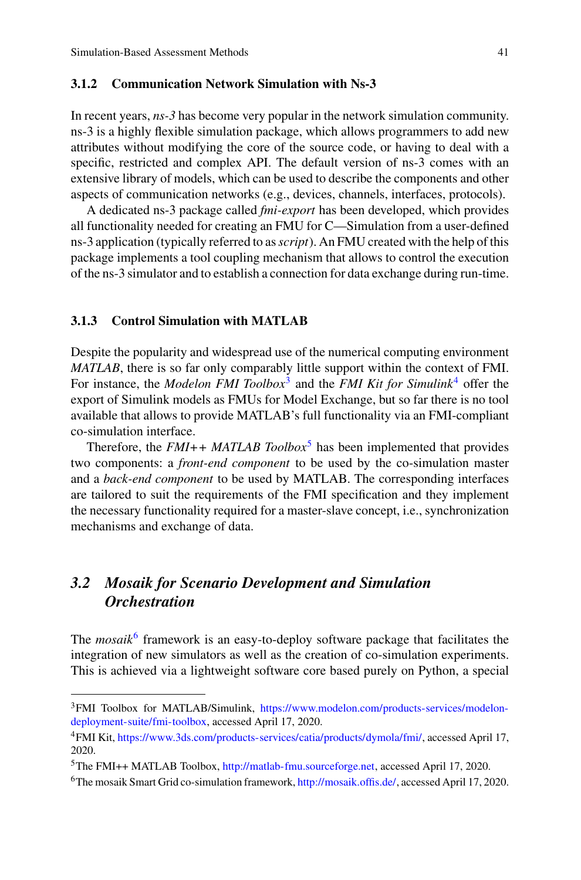### **3.1.2 Communication Network Simulation with Ns-3**

In recent years, *ns-3* has become very popular in the network simulation community. ns-3 is a highly flexible simulation package, which allows programmers to add new attributes without modifying the core of the source code, or having to deal with a specific, restricted and complex API. The default version of ns-3 comes with an extensive library of models, which can be used to describe the components and other aspects of communication networks (e.g., devices, channels, interfaces, protocols).

A dedicated ns-3 package called *fmi-export* has been developed, which provides all functionality needed for creating an FMU for C—Simulation from a user-defined ns-3 application (typically referred to as*script*). An FMU created with the help of this package implements a tool coupling mechanism that allows to control the execution of the ns-3 simulator and to establish a connection for data exchange during run-time.

#### **3.1.3 Control Simulation with MATLAB**

Despite the popularity and widespread use of the numerical computing environment *MATLAB*, there is so far only comparably little support within the context of FMI. For instance, the *Modelon FMI Toolbox*[3](#page-6-0) and the *FMI Kit for Simulink*[4](#page-6-1) offer the export of Simulink models as FMUs for Model Exchange, but so far there is no tool available that allows to provide MATLAB's full functionality via an FMI-compliant co-simulation interface.

Therefore, the *FMI++ MATLAB Toolbox*<sup>[5](#page-6-2)</sup> has been implemented that provides two components: a *front-end component* to be used by the co-simulation master and a *back-end component* to be used by MATLAB. The corresponding interfaces are tailored to suit the requirements of the FMI specification and they implement the necessary functionality required for a master-slave concept, i.e., synchronization mechanisms and exchange of data.

## *3.2 Mosaik for Scenario Development and Simulation Orchestration*

The *mosaik*[6](#page-6-3) framework is an easy-to-deploy software package that facilitates the integration of new simulators as well as the creation of co-simulation experiments. This is achieved via a lightweight software core based purely on Python, a special

<span id="page-6-0"></span><sup>3</sup>FMI Toolbox for MATLAB/Simulink, [https://www.modelon.com/products-services/modelon](https://www.modelon.com/products-services/modelon-deployment-suite/fmi-toolbox)[deployment-suite/fmi-toolbox,](https://www.modelon.com/products-services/modelon-deployment-suite/fmi-toolbox) accessed April 17, 2020.

<span id="page-6-1"></span><sup>4</sup>FMI Kit, [https://www.3ds.com/products-services/catia/products/dymola/fmi/,](https://www.3ds.com/products-services/catia/products/dymola/fmi/) accessed April 17, 2020.

<span id="page-6-2"></span><sup>5</sup>The FMI++ MATLAB Toolbox, [http://matlab-fmu.sourceforge.net,](http://matlab-fmu.sourceforge.net) accessed April 17, 2020.

<span id="page-6-3"></span><sup>6</sup>The mosaik Smart Grid co-simulation framework, [http://mosaik.offis.de/,](http://mosaik.offis.de/) accessed April 17, 2020.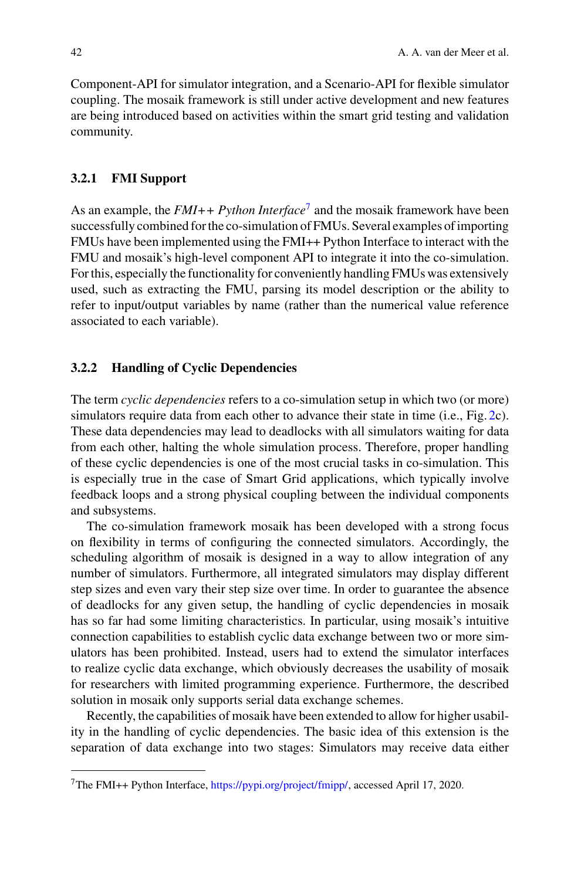Component-API for simulator integration, and a Scenario-API for flexible simulator coupling. The mosaik framework is still under active development and new features are being introduced based on activities within the smart grid testing and validation community.

#### **3.2.1 FMI Support**

As an example, the *FMI++ Python Interface*<sup>[7](#page-7-0)</sup> and the mosaik framework have been successfully combined for the co-simulation of FMUs. Several examples of importing FMUs have been implemented using the FMI++ Python Interface to interact with the FMU and mosaik's high-level component API to integrate it into the co-simulation. For this, especially the functionality for conveniently handling FMUs was extensively used, such as extracting the FMU, parsing its model description or the ability to refer to input/output variables by name (rather than the numerical value reference associated to each variable).

### **3.2.2 Handling of Cyclic Dependencies**

The term *cyclic dependencies* refers to a co-simulation setup in which two (or more) simulators require data from each other to advance their state in time (i.e., Fig. [2c](#page-2-0)). These data dependencies may lead to deadlocks with all simulators waiting for data from each other, halting the whole simulation process. Therefore, proper handling of these cyclic dependencies is one of the most crucial tasks in co-simulation. This is especially true in the case of Smart Grid applications, which typically involve feedback loops and a strong physical coupling between the individual components and subsystems.

The co-simulation framework mosaik has been developed with a strong focus on flexibility in terms of configuring the connected simulators. Accordingly, the scheduling algorithm of mosaik is designed in a way to allow integration of any number of simulators. Furthermore, all integrated simulators may display different step sizes and even vary their step size over time. In order to guarantee the absence of deadlocks for any given setup, the handling of cyclic dependencies in mosaik has so far had some limiting characteristics. In particular, using mosaik's intuitive connection capabilities to establish cyclic data exchange between two or more simulators has been prohibited. Instead, users had to extend the simulator interfaces to realize cyclic data exchange, which obviously decreases the usability of mosaik for researchers with limited programming experience. Furthermore, the described solution in mosaik only supports serial data exchange schemes.

Recently, the capabilities of mosaik have been extended to allow for higher usability in the handling of cyclic dependencies. The basic idea of this extension is the separation of data exchange into two stages: Simulators may receive data either

<span id="page-7-0"></span><sup>7</sup>The FMI++ Python Interface, [https://pypi.org/project/fmipp/,](https://pypi.org/project/fmipp/) accessed April 17, 2020.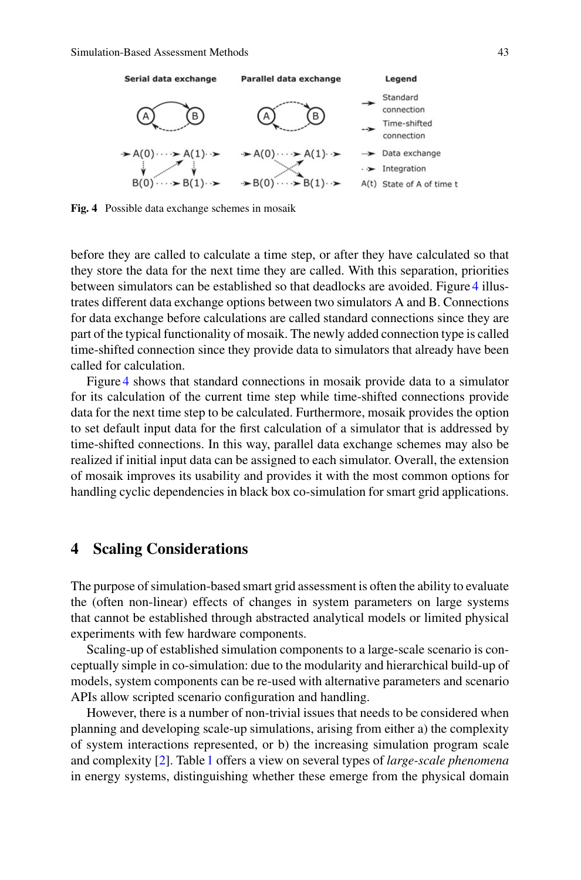

<span id="page-8-0"></span>**Fig. 4** Possible data exchange schemes in mosaik

before they are called to calculate a time step, or after they have calculated so that they store the data for the next time they are called. With this separation, priorities between simulators can be established so that deadlocks are avoided. Figure [4](#page-8-0) illustrates different data exchange options between two simulators A and B. Connections for data exchange before calculations are called standard connections since they are part of the typical functionality of mosaik. The newly added connection type is called time-shifted connection since they provide data to simulators that already have been called for calculation.

Figure [4](#page-8-0) shows that standard connections in mosaik provide data to a simulator for its calculation of the current time step while time-shifted connections provide data for the next time step to be calculated. Furthermore, mosaik provides the option to set default input data for the first calculation of a simulator that is addressed by time-shifted connections. In this way, parallel data exchange schemes may also be realized if initial input data can be assigned to each simulator. Overall, the extension of mosaik improves its usability and provides it with the most common options for handling cyclic dependencies in black box co-simulation for smart grid applications.

## **4 Scaling Considerations**

The purpose of simulation-based smart grid assessment is often the ability to evaluate the (often non-linear) effects of changes in system parameters on large systems that cannot be established through abstracted analytical models or limited physical experiments with few hardware components.

Scaling-up of established simulation components to a large-scale scenario is conceptually simple in co-simulation: due to the modularity and hierarchical build-up of models, system components can be re-used with alternative parameters and scenario APIs allow scripted scenario configuration and handling.

However, there is a number of non-trivial issues that needs to be considered when planning and developing scale-up simulations, arising from either a) the complexity of system interactions represented, or b) the increasing simulation program scale and complexity [\[2](#page-14-2)]. Table [1](#page-9-0) offers a view on several types of *large-scale phenomena* in energy systems, distinguishing whether these emerge from the physical domain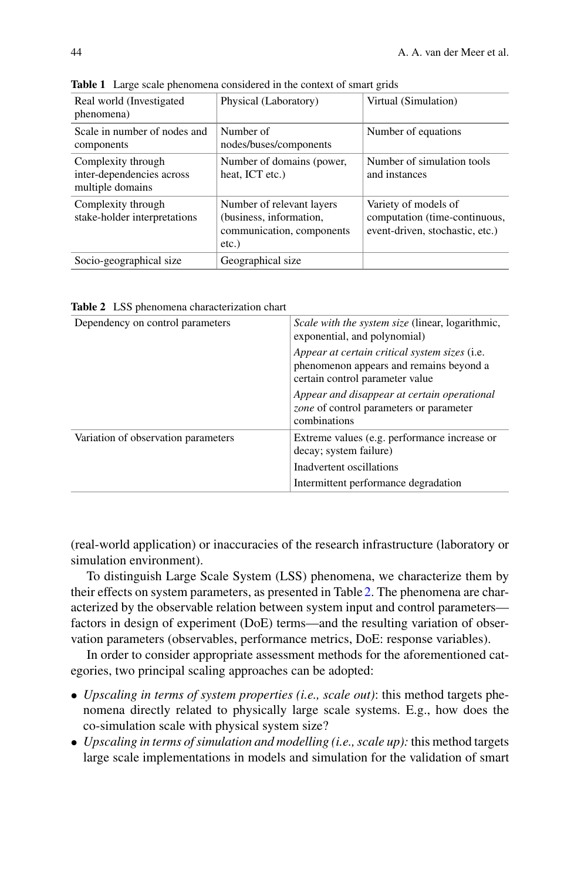| Real world (Investigated)<br>phenomena)                             | Physical (Laboratory)                                                                         | Virtual (Simulation)                                                                     |
|---------------------------------------------------------------------|-----------------------------------------------------------------------------------------------|------------------------------------------------------------------------------------------|
| Scale in number of nodes and<br>components                          | Number of<br>nodes/buses/components                                                           | Number of equations                                                                      |
| Complexity through<br>inter-dependencies across<br>multiple domains | Number of domains (power,<br>heat, ICT etc.)                                                  | Number of simulation tools<br>and instances                                              |
| Complexity through<br>stake-holder interpretations                  | Number of relevant layers<br>(business, information,<br>communication, components<br>$etc.$ ) | Variety of models of<br>computation (time-continuous,<br>event-driven, stochastic, etc.) |
| Socio-geographical size                                             | Geographical size                                                                             |                                                                                          |

<span id="page-9-0"></span>**Table 1** Large scale phenomena considered in the context of smart grids

<span id="page-9-1"></span>

| <b>Table 2</b> LSS phenomena characterization chart |  |
|-----------------------------------------------------|--|
|-----------------------------------------------------|--|

| Dependency on control parameters    | <i>Scale with the system size</i> (linear, logarithmic,<br>exponential, and polynomial)                                     |
|-------------------------------------|-----------------------------------------------------------------------------------------------------------------------------|
|                                     | Appear at certain critical system sizes (i.e.<br>phenomenon appears and remains beyond a<br>certain control parameter value |
|                                     | Appear and disappear at certain operational<br>zone of control parameters or parameter<br>combinations                      |
| Variation of observation parameters | Extreme values (e.g. performance increase or<br>decay; system failure)                                                      |
|                                     | Inadvertent oscillations                                                                                                    |
|                                     | Intermittent performance degradation                                                                                        |

(real-world application) or inaccuracies of the research infrastructure (laboratory or simulation environment).

To distinguish Large Scale System (LSS) phenomena, we characterize them by their effects on system parameters, as presented in Table [2.](#page-9-1) The phenomena are characterized by the observable relation between system input and control parameters factors in design of experiment (DoE) terms—and the resulting variation of observation parameters (observables, performance metrics, DoE: response variables).

In order to consider appropriate assessment methods for the aforementioned categories, two principal scaling approaches can be adopted:

- *Upscaling in terms of system properties (i.e., scale out)*: this method targets phenomena directly related to physically large scale systems. E.g., how does the co-simulation scale with physical system size?
- *Upscaling in terms of simulation and modelling (i.e., scale up):* this method targets large scale implementations in models and simulation for the validation of smart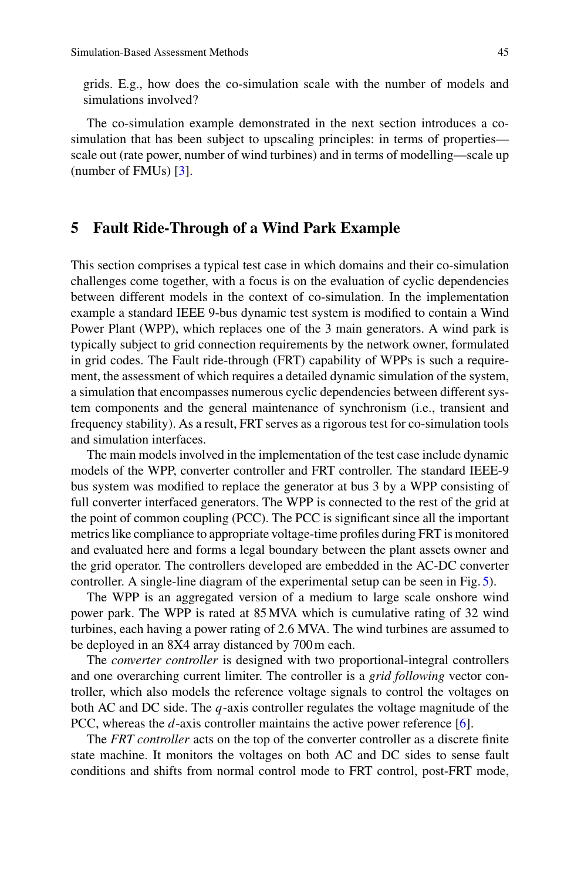grids. E.g., how does the co-simulation scale with the number of models and simulations involved?

The co-simulation example demonstrated in the next section introduces a cosimulation that has been subject to upscaling principles: in terms of properties scale out (rate power, number of wind turbines) and in terms of modelling—scale up (number of FMUs) [\[3](#page-14-3)].

### <span id="page-10-0"></span>**5 Fault Ride-Through of a Wind Park Example**

This section comprises a typical test case in which domains and their co-simulation challenges come together, with a focus is on the evaluation of cyclic dependencies between different models in the context of co-simulation. In the implementation example a standard IEEE 9-bus dynamic test system is modified to contain a Wind Power Plant (WPP), which replaces one of the 3 main generators. A wind park is typically subject to grid connection requirements by the network owner, formulated in grid codes. The Fault ride-through (FRT) capability of WPPs is such a requirement, the assessment of which requires a detailed dynamic simulation of the system, a simulation that encompasses numerous cyclic dependencies between different system components and the general maintenance of synchronism (i.e., transient and frequency stability). As a result, FRT serves as a rigorous test for co-simulation tools and simulation interfaces.

The main models involved in the implementation of the test case include dynamic models of the WPP, converter controller and FRT controller. The standard IEEE-9 bus system was modified to replace the generator at bus 3 by a WPP consisting of full converter interfaced generators. The WPP is connected to the rest of the grid at the point of common coupling (PCC). The PCC is significant since all the important metrics like compliance to appropriate voltage-time profiles during FRT is monitored and evaluated here and forms a legal boundary between the plant assets owner and the grid operator. The controllers developed are embedded in the AC-DC converter controller. A single-line diagram of the experimental setup can be seen in Fig. [5\)](#page-11-0).

The WPP is an aggregated version of a medium to large scale onshore wind power park. The WPP is rated at 85MVA which is cumulative rating of 32 wind turbines, each having a power rating of 2.6 MVA. The wind turbines are assumed to be deployed in an 8X4 array distanced by 700 m each.

The *converter controller* is designed with two proportional-integral controllers and one overarching current limiter. The controller is a *grid following* vector controller, which also models the reference voltage signals to control the voltages on both AC and DC side. The *q*-axis controller regulates the voltage magnitude of the PCC, whereas the *d*-axis controller maintains the active power reference [\[6\]](#page-15-4).

The *FRT controller* acts on the top of the converter controller as a discrete finite state machine. It monitors the voltages on both AC and DC sides to sense fault conditions and shifts from normal control mode to FRT control, post-FRT mode,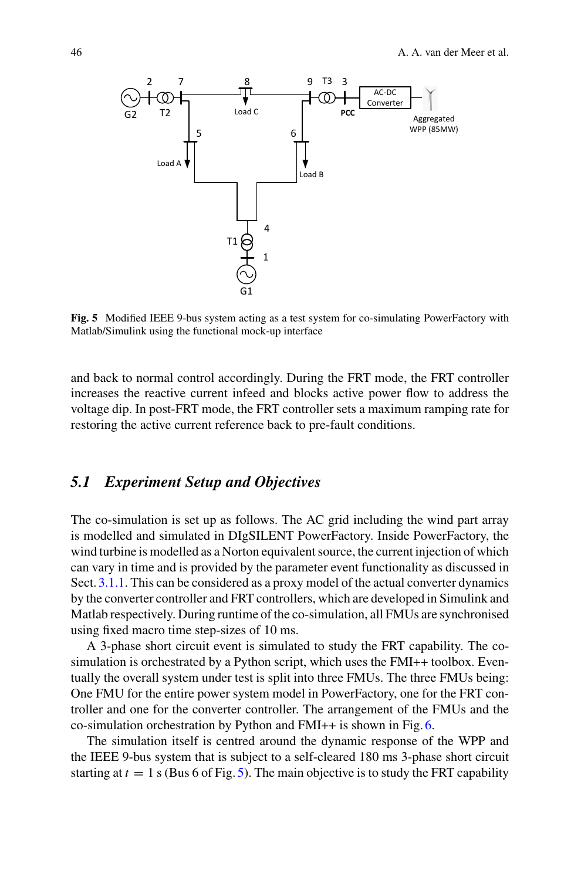

<span id="page-11-0"></span>**Fig. 5** Modified IEEE 9-bus system acting as a test system for co-simulating PowerFactory with Matlab/Simulink using the functional mock-up interface

and back to normal control accordingly. During the FRT mode, the FRT controller increases the reactive current infeed and blocks active power flow to address the voltage dip. In post-FRT mode, the FRT controller sets a maximum ramping rate for restoring the active current reference back to pre-fault conditions.

## *5.1 Experiment Setup and Objectives*

The co-simulation is set up as follows. The AC grid including the wind part array is modelled and simulated in DIgSILENT PowerFactory. Inside PowerFactory, the wind turbine is modelled as a Norton equivalent source, the current injection of which can vary in time and is provided by the parameter event functionality as discussed in Sect. [3.1.1.](#page-5-2) This can be considered as a proxy model of the actual converter dynamics by the converter controller and FRT controllers, which are developed in Simulink and Matlab respectively. During runtime of the co-simulation, all FMUs are synchronised using fixed macro time step-sizes of 10 ms.

A 3-phase short circuit event is simulated to study the FRT capability. The cosimulation is orchestrated by a Python script, which uses the FMI++ toolbox. Eventually the overall system under test is split into three FMUs. The three FMUs being: One FMU for the entire power system model in PowerFactory, one for the FRT controller and one for the converter controller. The arrangement of the FMUs and the co-simulation orchestration by Python and FMI++ is shown in Fig. [6.](#page-12-0)

The simulation itself is centred around the dynamic response of the WPP and the IEEE 9-bus system that is subject to a self-cleared 180 ms 3-phase short circuit starting at  $t = 1$  s (Bus 6 of Fig. [5\)](#page-11-0). The main objective is to study the FRT capability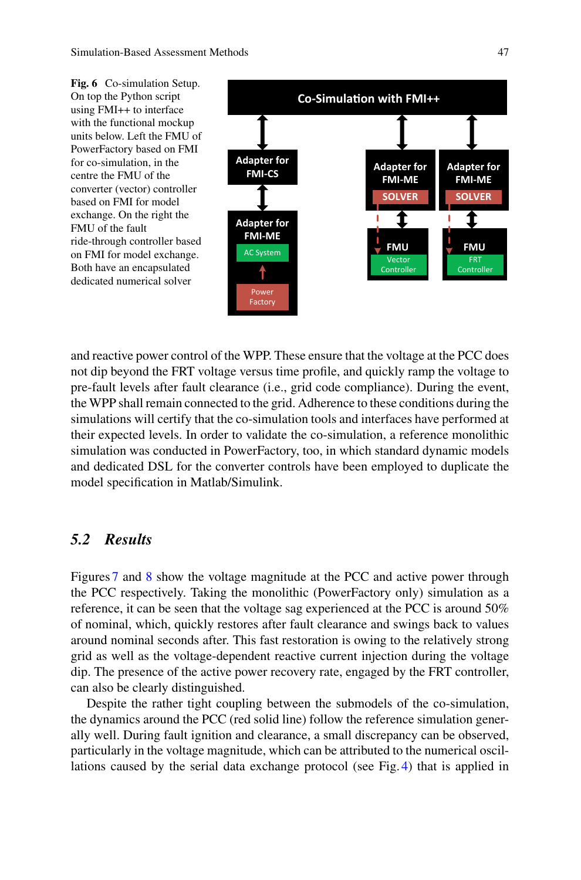<span id="page-12-0"></span>

and reactive power control of the WPP. These ensure that the voltage at the PCC does not dip beyond the FRT voltage versus time profile, and quickly ramp the voltage to pre-fault levels after fault clearance (i.e., grid code compliance). During the event, the WPP shall remain connected to the grid. Adherence to these conditions during the simulations will certify that the co-simulation tools and interfaces have performed at their expected levels. In order to validate the co-simulation, a reference monolithic simulation was conducted in PowerFactory, too, in which standard dynamic models and dedicated DSL for the converter controls have been employed to duplicate the model specification in Matlab/Simulink.

## *5.2 Results*

Figures [7](#page-13-0) and [8](#page-13-1) show the voltage magnitude at the PCC and active power through the PCC respectively. Taking the monolithic (PowerFactory only) simulation as a reference, it can be seen that the voltage sag experienced at the PCC is around 50% of nominal, which, quickly restores after fault clearance and swings back to values around nominal seconds after. This fast restoration is owing to the relatively strong grid as well as the voltage-dependent reactive current injection during the voltage dip. The presence of the active power recovery rate, engaged by the FRT controller, can also be clearly distinguished.

Despite the rather tight coupling between the submodels of the co-simulation, the dynamics around the PCC (red solid line) follow the reference simulation generally well. During fault ignition and clearance, a small discrepancy can be observed, particularly in the voltage magnitude, which can be attributed to the numerical oscillations caused by the serial data exchange protocol (see Fig. [4\)](#page-8-0) that is applied in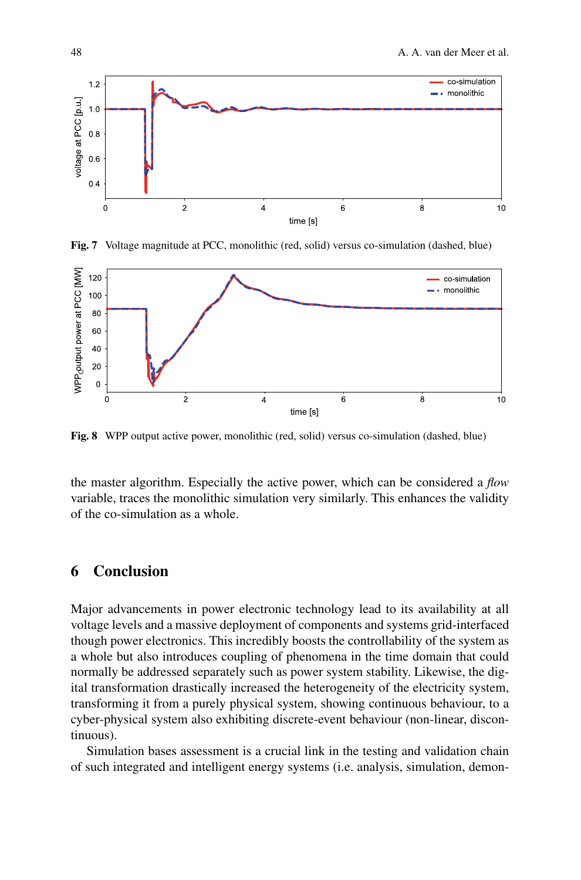

<span id="page-13-0"></span>Fig. 7 Voltage magnitude at PCC, monolithic (red, solid) versus co-simulation (dashed, blue)



<span id="page-13-1"></span>**Fig. 8** WPP output active power, monolithic (red, solid) versus co-simulation (dashed, blue)

the master algorithm. Especially the active power, which can be considered a *flow* variable, traces the monolithic simulation very similarly. This enhances the validity of the co-simulation as a whole.

## **6 Conclusion**

Major advancements in power electronic technology lead to its availability at all voltage levels and a massive deployment of components and systems grid-interfaced though power electronics. This incredibly boosts the controllability of the system as a whole but also introduces coupling of phenomena in the time domain that could normally be addressed separately such as power system stability. Likewise, the digital transformation drastically increased the heterogeneity of the electricity system, transforming it from a purely physical system, showing continuous behaviour, to a cyber-physical system also exhibiting discrete-event behaviour (non-linear, discontinuous).

Simulation bases assessment is a crucial link in the testing and validation chain of such integrated and intelligent energy systems (i.e. analysis, simulation, demon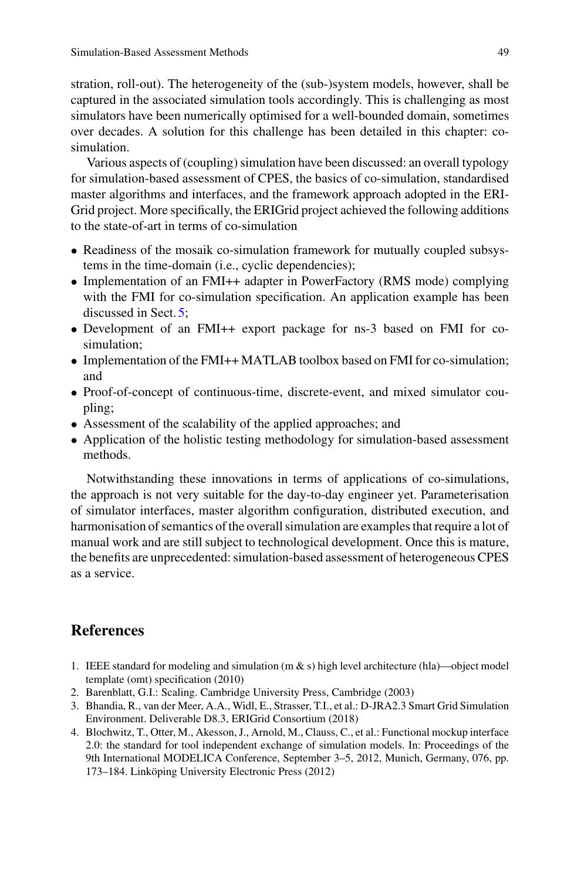stration, roll-out). The heterogeneity of the (sub-)system models, however, shall be captured in the associated simulation tools accordingly. This is challenging as most simulators have been numerically optimised for a well-bounded domain, sometimes over decades. A solution for this challenge has been detailed in this chapter: cosimulation.

Various aspects of (coupling) simulation have been discussed: an overall typology for simulation-based assessment of CPES, the basics of co-simulation, standardised master algorithms and interfaces, and the framework approach adopted in the ERI-Grid project. More specifically, the ERIGrid project achieved the following additions to the state-of-art in terms of co-simulation

- Readiness of the mosaik co-simulation framework for mutually coupled subsystems in the time-domain (i.e., cyclic dependencies);
- Implementation of an FMI++ adapter in PowerFactory (RMS mode) complying with the FMI for co-simulation specification. An application example has been discussed in Sect. 5:
- Development of an FMI++ export package for ns-3 based on FMI for cosimulation;
- Implementation of the FMI++ MATLAB toolbox based on FMI for co-simulation; and
- Proof-of-concept of continuous-time, discrete-event, and mixed simulator coupling;
- Assessment of the scalability of the applied approaches; and
- Application of the holistic testing methodology for simulation-based assessment methods.

Notwithstanding these innovations in terms of applications of co-simulations, the approach is not very suitable for the day-to-day engineer yet. Parameterisation of simulator interfaces, master algorithm configuration, distributed execution, and harmonisation of semantics of the overall simulation are examples that require a lot of manual work and are still subject to technological development. Once this is mature, the benefits are unprecedented: simulation-based assessment of heterogeneous CPES as a service.

## **References**

- <span id="page-14-0"></span>1. IEEE standard for modeling and simulation (m & s) high level architecture (hla)—object model template (omt) specification (2010)
- <span id="page-14-2"></span>2. Barenblatt, G.I.: Scaling. Cambridge University Press, Cambridge (2003)
- <span id="page-14-3"></span>3. Bhandia, R., van der Meer, A.A., Widl, E., Strasser, T.I., et al.: D-JRA2.3 Smart Grid Simulation Environment. Deliverable D8.3, ERIGrid Consortium (2018)
- <span id="page-14-1"></span>4. Blochwitz, T., Otter, M., Akesson, J., Arnold, M., Clauss, C., et al.: Functional mockup interface 2.0: the standard for tool independent exchange of simulation models. In: Proceedings of the 9th International MODELICA Conference, September 3–5, 2012, Munich, Germany, 076, pp. 173–184. Linköping University Electronic Press (2012)